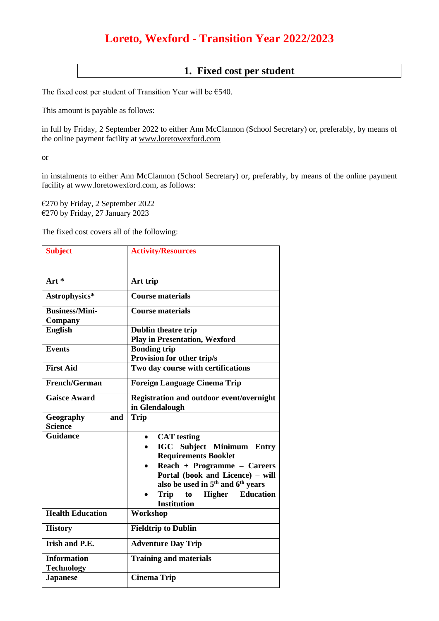## **Loreto, Wexford - Transition Year 2022/2023**

## **1. Fixed cost per student**

The fixed cost per student of Transition Year will be €540.

This amount is payable as follows:

in full by Friday, 2 September 2022 to either Ann McClannon (School Secretary) or, preferably, by means of the online payment facility at [www.loretowexford.com](http://www.loretowexford.com/)

or

in instalments to either Ann McClannon (School Secretary) or, preferably, by means of the online payment facility at [www.loretowexford.com,](http://www.loretowexford.com/) as follows:

€270 by Friday, 2 September 2022 €270 by Friday, 27 January 2023

The fixed cost covers all of the following:

| <b>Subject</b>          | <b>Activity/Resources</b>                                 |  |
|-------------------------|-----------------------------------------------------------|--|
|                         |                                                           |  |
| Art $*$                 | Art trip                                                  |  |
| Astrophysics*           | <b>Course materials</b>                                   |  |
| <b>Business/Mini-</b>   | <b>Course materials</b>                                   |  |
| Company                 |                                                           |  |
| <b>English</b>          | Dublin theatre trip                                       |  |
|                         | <b>Play in Presentation, Wexford</b>                      |  |
| <b>Events</b>           | <b>Bonding trip</b>                                       |  |
|                         | Provision for other trip/s                                |  |
| <b>First Aid</b>        | Two day course with certifications                        |  |
| French/German           | <b>Foreign Language Cinema Trip</b>                       |  |
| <b>Gaisce Award</b>     | Registration and outdoor event/overnight                  |  |
|                         | in Glendalough                                            |  |
| Geography<br>and        | <b>Trip</b>                                               |  |
| <b>Science</b>          |                                                           |  |
| <b>Guidance</b>         | <b>CAT</b> testing                                        |  |
|                         | <b>IGC</b> Subject Minimum Entry                          |  |
|                         | <b>Requirements Booklet</b>                               |  |
|                         | Reach + Programme - Careers                               |  |
|                         | Portal (book and Licence) - will                          |  |
|                         | also be used in 5 <sup>th</sup> and 6 <sup>th</sup> years |  |
|                         | <b>Education</b><br>Trip<br>to                            |  |
|                         | <b>Higher</b><br><b>Institution</b>                       |  |
| <b>Health Education</b> | Workshop                                                  |  |
| <b>History</b>          | <b>Fieldtrip to Dublin</b>                                |  |
| Irish and P.E.          | <b>Adventure Day Trip</b>                                 |  |
| <b>Information</b>      | <b>Training and materials</b>                             |  |
| <b>Technology</b>       |                                                           |  |
| <b>Japanese</b>         | <b>Cinema Trip</b>                                        |  |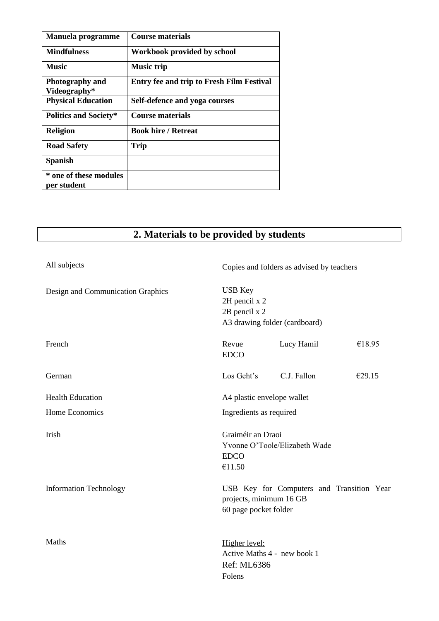| Manuela programme                      | Course materials                                 |
|----------------------------------------|--------------------------------------------------|
| <b>Mindfulness</b>                     | Workbook provided by school                      |
| <b>Music</b>                           | <b>Music trip</b>                                |
| <b>Photography and</b><br>Videography* | <b>Entry fee and trip to Fresh Film Festival</b> |
| <b>Physical Education</b>              | Self-defence and yoga courses                    |
| <b>Politics and Society*</b>           | Course materials                                 |
| <b>Religion</b>                        | <b>Book hire / Retreat</b>                       |
| <b>Road Safety</b>                     | <b>Trip</b>                                      |
| <b>Spanish</b>                         |                                                  |
| * one of these modules<br>per student  |                                                  |

## **2. Materials to be provided by students**

| All subjects                      |                                                  | Copies and folders as advised by teachers |        |  |
|-----------------------------------|--------------------------------------------------|-------------------------------------------|--------|--|
| Design and Communication Graphics | <b>USB</b> Key<br>2H pencil x 2<br>2B pencil x 2 | A3 drawing folder (cardboard)             |        |  |
| French                            | Revue<br><b>EDCO</b>                             | Lucy Hamil                                | €18.95 |  |
| German                            | Los Geht's                                       | C.J. Fallon                               | €29.15 |  |
| <b>Health Education</b>           |                                                  | A4 plastic envelope wallet                |        |  |
| Home Economics                    |                                                  | Ingredients as required                   |        |  |
| Irish                             | Graiméir an Draoi<br><b>EDCO</b><br>€11.50       | Yvonne O'Toole/Elizabeth Wade             |        |  |
| <b>Information Technology</b>     | projects, minimum 16 GB<br>60 page pocket folder | USB Key for Computers and Transition Year |        |  |
| Maths                             | Higher level:<br>Ref: ML6386<br>Folens           | Active Maths 4 - new book 1               |        |  |